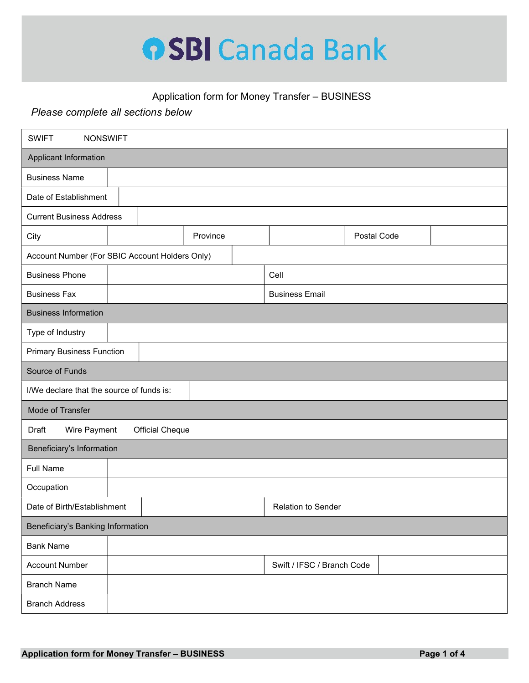

## Application form for Money Transfer – BUSINESS

## Please complete all sections below

| <b>SWIFT</b><br><b>NONSWIFT</b>                 |  |          |                            |             |  |  |  |
|-------------------------------------------------|--|----------|----------------------------|-------------|--|--|--|
| Applicant Information                           |  |          |                            |             |  |  |  |
| <b>Business Name</b>                            |  |          |                            |             |  |  |  |
| Date of Establishment                           |  |          |                            |             |  |  |  |
| <b>Current Business Address</b>                 |  |          |                            |             |  |  |  |
| City                                            |  | Province |                            | Postal Code |  |  |  |
| Account Number (For SBIC Account Holders Only)  |  |          |                            |             |  |  |  |
| <b>Business Phone</b>                           |  |          | Cell                       |             |  |  |  |
| <b>Business Fax</b>                             |  |          | <b>Business Email</b>      |             |  |  |  |
| <b>Business Information</b>                     |  |          |                            |             |  |  |  |
| Type of Industry                                |  |          |                            |             |  |  |  |
| <b>Primary Business Function</b>                |  |          |                            |             |  |  |  |
| Source of Funds                                 |  |          |                            |             |  |  |  |
| I/We declare that the source of funds is:       |  |          |                            |             |  |  |  |
| Mode of Transfer                                |  |          |                            |             |  |  |  |
| Draft<br>Wire Payment<br><b>Official Cheque</b> |  |          |                            |             |  |  |  |
| Beneficiary's Information                       |  |          |                            |             |  |  |  |
| <b>Full Name</b>                                |  |          |                            |             |  |  |  |
| Occupation                                      |  |          |                            |             |  |  |  |
| Date of Birth/Establishment                     |  |          | <b>Relation to Sender</b>  |             |  |  |  |
| Beneficiary's Banking Information               |  |          |                            |             |  |  |  |
| <b>Bank Name</b>                                |  |          |                            |             |  |  |  |
| <b>Account Number</b>                           |  |          | Swift / IFSC / Branch Code |             |  |  |  |
| <b>Branch Name</b>                              |  |          |                            |             |  |  |  |
| <b>Branch Address</b>                           |  |          |                            |             |  |  |  |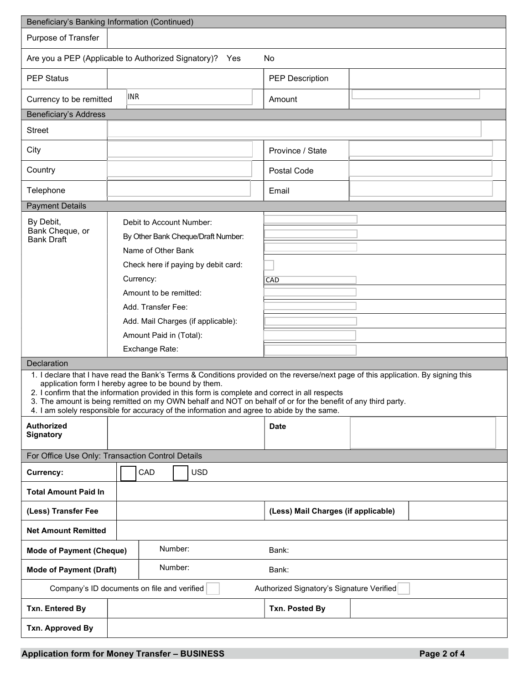| Beneficiary's Banking Information (Continued)                                                                                                                                                              |  |                                                                                                                                                                   |        |                                    |                                                                                                                                    |  |  |  |
|------------------------------------------------------------------------------------------------------------------------------------------------------------------------------------------------------------|--|-------------------------------------------------------------------------------------------------------------------------------------------------------------------|--------|------------------------------------|------------------------------------------------------------------------------------------------------------------------------------|--|--|--|
| Purpose of Transfer                                                                                                                                                                                        |  |                                                                                                                                                                   |        |                                    |                                                                                                                                    |  |  |  |
| Are you a PEP (Applicable to Authorized Signatory)? Yes<br><b>No</b>                                                                                                                                       |  |                                                                                                                                                                   |        |                                    |                                                                                                                                    |  |  |  |
| <b>PEP Status</b>                                                                                                                                                                                          |  |                                                                                                                                                                   |        |                                    | <b>PEP Description</b>                                                                                                             |  |  |  |
| <b>INR</b><br>Currency to be remitted                                                                                                                                                                      |  |                                                                                                                                                                   | Amount |                                    |                                                                                                                                    |  |  |  |
| <b>Beneficiary's Address</b>                                                                                                                                                                               |  |                                                                                                                                                                   |        |                                    |                                                                                                                                    |  |  |  |
| <b>Street</b>                                                                                                                                                                                              |  |                                                                                                                                                                   |        |                                    |                                                                                                                                    |  |  |  |
| City                                                                                                                                                                                                       |  |                                                                                                                                                                   |        |                                    | Province / State                                                                                                                   |  |  |  |
| Country                                                                                                                                                                                                    |  |                                                                                                                                                                   |        |                                    | Postal Code                                                                                                                        |  |  |  |
| Telephone                                                                                                                                                                                                  |  |                                                                                                                                                                   |        |                                    | Email                                                                                                                              |  |  |  |
| <b>Payment Details</b>                                                                                                                                                                                     |  |                                                                                                                                                                   |        |                                    |                                                                                                                                    |  |  |  |
| By Debit,                                                                                                                                                                                                  |  | Debit to Account Number:                                                                                                                                          |        |                                    |                                                                                                                                    |  |  |  |
| Bank Cheque, or<br><b>Bank Draft</b>                                                                                                                                                                       |  |                                                                                                                                                                   |        | By Other Bank Cheque/Draft Number: |                                                                                                                                    |  |  |  |
|                                                                                                                                                                                                            |  | Name of Other Bank                                                                                                                                                |        |                                    |                                                                                                                                    |  |  |  |
|                                                                                                                                                                                                            |  | Check here if paying by debit card:<br>Currency:<br>Amount to be remitted:<br>Add. Transfer Fee:<br>Add. Mail Charges (if applicable):<br>Amount Paid in (Total): |        |                                    |                                                                                                                                    |  |  |  |
|                                                                                                                                                                                                            |  |                                                                                                                                                                   |        | CAD                                |                                                                                                                                    |  |  |  |
|                                                                                                                                                                                                            |  |                                                                                                                                                                   |        |                                    |                                                                                                                                    |  |  |  |
|                                                                                                                                                                                                            |  |                                                                                                                                                                   |        |                                    |                                                                                                                                    |  |  |  |
|                                                                                                                                                                                                            |  |                                                                                                                                                                   |        |                                    |                                                                                                                                    |  |  |  |
|                                                                                                                                                                                                            |  |                                                                                                                                                                   |        |                                    |                                                                                                                                    |  |  |  |
|                                                                                                                                                                                                            |  | Exchange Rate:                                                                                                                                                    |        |                                    |                                                                                                                                    |  |  |  |
| Declaration                                                                                                                                                                                                |  |                                                                                                                                                                   |        |                                    | 1. I declare that I have read the Bank's Terms & Conditions provided on the reverse/next page of this application. By signing this |  |  |  |
| application form I hereby agree to be bound by them.                                                                                                                                                       |  |                                                                                                                                                                   |        |                                    |                                                                                                                                    |  |  |  |
|                                                                                                                                                                                                            |  |                                                                                                                                                                   |        |                                    | 2. I confirm that the information provided in this form is complete and correct in all respects                                    |  |  |  |
| 3. The amount is being remitted on my OWN behalf and NOT on behalf of or for the benefit of any third party.<br>4. I am solely responsible for accuracy of the information and agree to abide by the same. |  |                                                                                                                                                                   |        |                                    |                                                                                                                                    |  |  |  |
| Authorized                                                                                                                                                                                                 |  |                                                                                                                                                                   |        |                                    | <b>Date</b>                                                                                                                        |  |  |  |
| <b>Signatory</b>                                                                                                                                                                                           |  |                                                                                                                                                                   |        |                                    |                                                                                                                                    |  |  |  |
| For Office Use Only: Transaction Control Details                                                                                                                                                           |  |                                                                                                                                                                   |        |                                    |                                                                                                                                    |  |  |  |
| Currency:                                                                                                                                                                                                  |  | CAD                                                                                                                                                               |        | <b>USD</b>                         |                                                                                                                                    |  |  |  |
| <b>Total Amount Paid In</b>                                                                                                                                                                                |  |                                                                                                                                                                   |        |                                    |                                                                                                                                    |  |  |  |
| (Less) Transfer Fee                                                                                                                                                                                        |  |                                                                                                                                                                   |        |                                    | (Less) Mail Charges (if applicable)                                                                                                |  |  |  |
| <b>Net Amount Remitted</b>                                                                                                                                                                                 |  |                                                                                                                                                                   |        |                                    |                                                                                                                                    |  |  |  |
| Number:<br><b>Mode of Payment (Cheque)</b>                                                                                                                                                                 |  | Bank:                                                                                                                                                             |        |                                    |                                                                                                                                    |  |  |  |
| Number:<br><b>Mode of Payment (Draft)</b>                                                                                                                                                                  |  |                                                                                                                                                                   | Bank:  |                                    |                                                                                                                                    |  |  |  |
| Company's ID documents on file and verified<br>Authorized Signatory's Signature Verified                                                                                                                   |  |                                                                                                                                                                   |        |                                    |                                                                                                                                    |  |  |  |
| Txn. Entered By                                                                                                                                                                                            |  |                                                                                                                                                                   |        |                                    | Txn. Posted By                                                                                                                     |  |  |  |
| Txn. Approved By                                                                                                                                                                                           |  |                                                                                                                                                                   |        |                                    |                                                                                                                                    |  |  |  |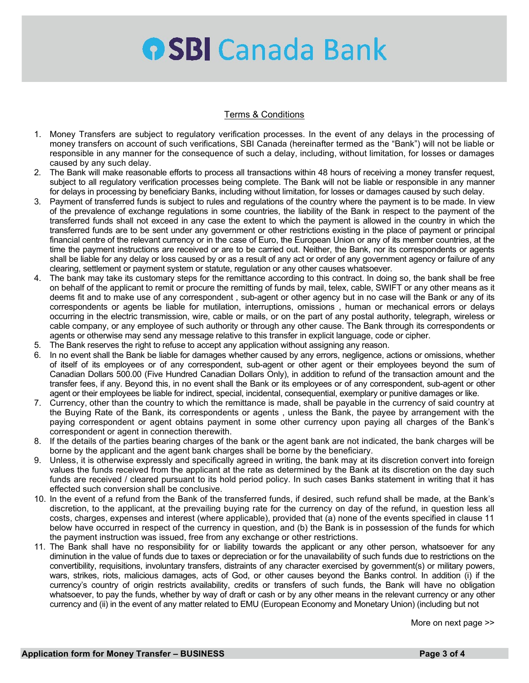## **OSBI** Canada Bank

## Terms & Conditions

- 1. Money Transfers are subject to regulatory verification processes. In the event of any delays in the processing of money transfers on account of such verifications, SBI Canada (hereinafter termed as the "Bank") will not be liable or responsible in any manner for the consequence of such a delay, including, without limitation, for losses or damages caused by any such delay.
- 2. The Bank will make reasonable efforts to process all transactions within 48 hours of receiving a money transfer request, subject to all regulatory verification processes being complete. The Bank will not be liable or responsible in any manner for delays in processing by beneficiary Banks, including without limitation, for losses or damages caused by such delay.
- 3. Payment of transferred funds is subject to rules and regulations of the country where the payment is to be made. In view of the prevalence of exchange regulations in some countries, the liability of the Bank in respect to the payment of the transferred funds shall not exceed in any case the extent to which the payment is allowed in the country in which the transferred funds are to be sent under any government or other restrictions existing in the place of payment or principal financial centre of the relevant currency or in the case of Euro, the European Union or any of its member countries, at the time the payment instructions are received or are to be carried out. Neither, the Bank, nor its correspondents or agents shall be liable for any delay or loss caused by or as a result of any act or order of any government agency or failure of any clearing, settlement or payment system or statute, regulation or any other causes whatsoever.
- 4. The bank may take its customary steps for the remittance according to this contract. In doing so, the bank shall be free on behalf of the applicant to remit or procure the remitting of funds by mail, telex, cable, SWIFT or any other means as it deems fit and to make use of any correspondent , sub-agent or other agency but in no case will the Bank or any of its correspondents or agents be liable for mutilation, interruptions, omissions , human or mechanical errors or delays occurring in the electric transmission, wire, cable or mails, or on the part of any postal authority, telegraph, wireless or cable company, or any employee of such authority or through any other cause. The Bank through its correspondents or agents or otherwise may send any message relative to this transfer in explicit language, code or cipher.
- 5. The Bank reserves the right to refuse to accept any application without assigning any reason.
- 6. In no event shall the Bank be liable for damages whether caused by any errors, negligence, actions or omissions, whether of itself of its employees or of any correspondent, sub-agent or other agent or their employees beyond the sum of Canadian Dollars 500.00 (Five Hundred Canadian Dollars Only), in addition to refund of the transaction amount and the transfer fees, if any. Beyond this, in no event shall the Bank or its employees or of any correspondent, sub-agent or other agent or their employees be liable for indirect, special, incidental, consequential, exemplary or punitive damages or like.
- 7. Currency, other than the country to which the remittance is made, shall be payable in the currency of said country at the Buying Rate of the Bank, its correspondents or agents , unless the Bank, the payee by arrangement with the paying correspondent or agent obtains payment in some other currency upon paying all charges of the Bank's correspondent or agent in connection therewith.
- 8. If the details of the parties bearing charges of the bank or the agent bank are not indicated, the bank charges will be borne by the applicant and the agent bank charges shall be borne by the beneficiary.
- 9. Unless, it is otherwise expressly and specifically agreed in writing, the bank may at its discretion convert into foreign values the funds received from the applicant at the rate as determined by the Bank at its discretion on the day such funds are received / cleared pursuant to its hold period policy. In such cases Banks statement in writing that it has effected such conversion shall be conclusive.
- 10. In the event of a refund from the Bank of the transferred funds, if desired, such refund shall be made, at the Bank's discretion, to the applicant, at the prevailing buying rate for the currency on day of the refund, in question less all costs, charges, expenses and interest (where applicable), provided that (a) none of the events specified in clause 11 below have occurred in respect of the currency in question, and (b) the Bank is in possession of the funds for which the payment instruction was issued, free from any exchange or other restrictions.
- 11. The Bank shall have no responsibility for or liability towards the applicant or any other person, whatsoever for any diminution in the value of funds due to taxes or depreciation or for the unavailability of such funds due to restrictions on the convertibility, requisitions, involuntary transfers, distraints of any character exercised by government(s) or military powers, wars, strikes, riots, malicious damages, acts of God, or other causes beyond the Banks control. In addition (i) if the currency's country of origin restricts availability, credits or transfers of such funds, the Bank will have no obligation whatsoever, to pay the funds, whether by way of draft or cash or by any other means in the relevant currency or any other currency and (ii) in the event of any matter related to EMU (European Economy and Monetary Union) (including but not

More on next page >>